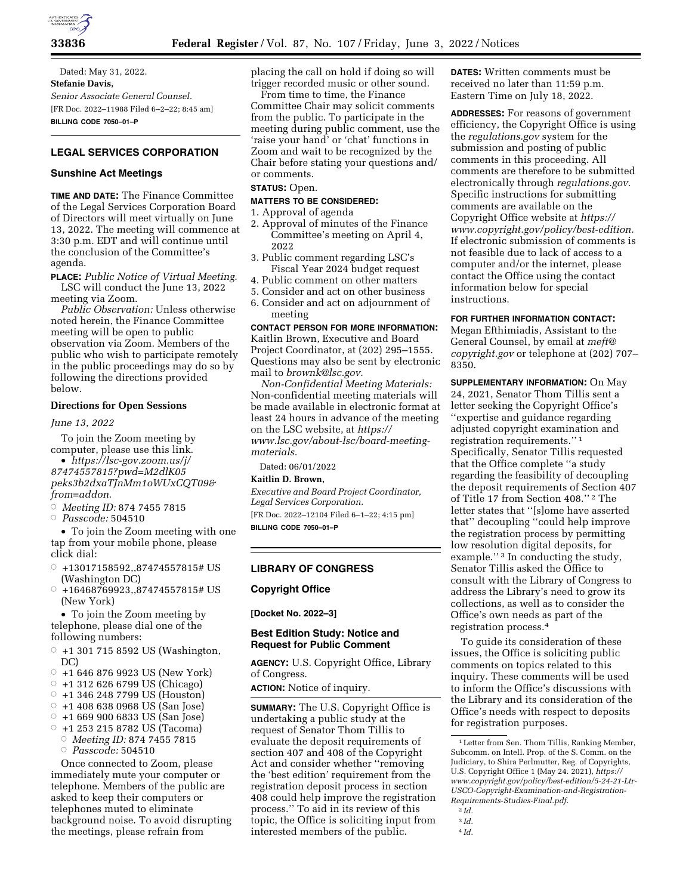

Dated: May 31, 2022. **Stefanie Davis,**  *Senior Associate General Counsel.*  [FR Doc. 2022–11988 Filed 6–2–22; 8:45 am] **BILLING CODE 7050–01–P** 

# **LEGAL SERVICES CORPORATION**

# **Sunshine Act Meetings**

**TIME AND DATE:** The Finance Committee of the Legal Services Corporation Board of Directors will meet virtually on June 13, 2022. The meeting will commence at 3:30 p.m. EDT and will continue until the conclusion of the Committee's agenda.

**PLACE:** *Public Notice of Virtual Meeting*. LSC will conduct the June 13, 2022 meeting via Zoom.

*Public Observation:* Unless otherwise noted herein, the Finance Committee meeting will be open to public observation via Zoom. Members of the public who wish to participate remotely in the public proceedings may do so by following the directions provided below.

## **Directions for Open Sessions**

*June 13, 2022* 

To join the Zoom meeting by computer, please use this link.

• *[https://lsc-gov.zoom.us/j/](https://lsc-gov.zoom.us/j/87474557815?pwd=M2dlK05peks3b2dxaTJnMm1oWUxCQT09&from=addon)  [87474557815?pwd=M2dlK05](https://lsc-gov.zoom.us/j/87474557815?pwd=M2dlK05peks3b2dxaTJnMm1oWUxCQT09&from=addon) [peks3b2dxaTJnMm1oWUxCQT09&](https://lsc-gov.zoom.us/j/87474557815?pwd=M2dlK05peks3b2dxaTJnMm1oWUxCQT09&from=addon) [from=addon](https://lsc-gov.zoom.us/j/87474557815?pwd=M2dlK05peks3b2dxaTJnMm1oWUxCQT09&from=addon)*.

Æ *Meeting ID:* 874 7455 7815

Æ *Passcode:* 504510

• To join the Zoom meeting with one tap from your mobile phone, please click dial:

- $\circ$  +13017158592,,87474557815# US (Washington DC)
- $\circ$  +16468769923,,87474557815# US (New York)

• To join the Zoom meeting by telephone, please dial one of the following numbers:

 $\circ$  +1 301 715 8592 US (Washington, DC)

- $\circ$  +1 646 876 9923 US (New York)
- $\circ$  +1 312 626 6799 US (Chicago)
- $\circ$  +1 346 248 7799 US (Houston)
- $\circ$  +1 408 638 0968 US (San Jose)
- $\circ$  +1 669 900 6833 US (San Jose)
- $\circ$  +1 253 215 8782 US (Tacoma)
- Æ *Meeting ID:* 874 7455 7815

Æ *Passcode:* 504510

Once connected to Zoom, please immediately mute your computer or telephone. Members of the public are asked to keep their computers or telephones muted to eliminate background noise. To avoid disrupting the meetings, please refrain from

placing the call on hold if doing so will trigger recorded music or other sound.

From time to time, the Finance Committee Chair may solicit comments from the public. To participate in the meeting during public comment, use the 'raise your hand' or 'chat' functions in Zoom and wait to be recognized by the Chair before stating your questions and/ or comments.

## **STATUS:** Open.

#### **MATTERS TO BE CONSIDERED:**

- 1. Approval of agenda
- 2. Approval of minutes of the Finance Committee's meeting on April 4, 2022
- 3. Public comment regarding LSC's Fiscal Year 2024 budget request
- 4. Public comment on other matters
- 5. Consider and act on other business
- 6. Consider and act on adjournment of meeting

**CONTACT PERSON FOR MORE INFORMATION:**  Kaitlin Brown, Executive and Board Project Coordinator, at (202) 295–1555. Questions may also be sent by electronic mail to *[brownk@lsc.gov.](mailto:brownk@lsc.gov)* 

*Non-Confidential Meeting Materials:*  Non-confidential meeting materials will be made available in electronic format at least 24 hours in advance of the meeting on the LSC website, at *[https://](https://www.lsc.gov/about-lsc/board-meeting-materials) [www.lsc.gov/about-lsc/board-meeting](https://www.lsc.gov/about-lsc/board-meeting-materials)[materials.](https://www.lsc.gov/about-lsc/board-meeting-materials)* 

Dated: 06/01/2022

# **Kaitlin D. Brown,**

*Executive and Board Project Coordinator, Legal Services Corporation.*  [FR Doc. 2022–12104 Filed 6–1–22; 4:15 pm]

**BILLING CODE 7050–01–P** 

### **LIBRARY OF CONGRESS**

**Copyright Office** 

**[Docket No. 2022–3]** 

# **Best Edition Study: Notice and Request for Public Comment**

**AGENCY:** U.S. Copyright Office, Library of Congress.

**ACTION:** Notice of inquiry.

**SUMMARY:** The U.S. Copyright Office is undertaking a public study at the request of Senator Thom Tillis to evaluate the deposit requirements of section 407 and 408 of the Copyright Act and consider whether ''removing the 'best edition' requirement from the registration deposit process in section 408 could help improve the registration process.'' To aid in its review of this topic, the Office is soliciting input from interested members of the public.

**DATES:** Written comments must be received no later than 11:59 p.m. Eastern Time on July 18, 2022.

**ADDRESSES:** For reasons of government efficiency, the Copyright Office is using the *regulations.gov* system for the submission and posting of public comments in this proceeding. All comments are therefore to be submitted electronically through *regulations.gov.*  Specific instructions for submitting comments are available on the Copyright Office website at *[https://](https://www.copyright.gov/policy/best-edition) [www.copyright.gov/policy/best-edition.](https://www.copyright.gov/policy/best-edition)*  If electronic submission of comments is not feasible due to lack of access to a computer and/or the internet, please contact the Office using the contact information below for special instructions.

**FOR FURTHER INFORMATION CONTACT:** 

Megan Efthimiadis, Assistant to the General Counsel, by email at *[meft@](mailto:meft@copyright.gov) [copyright.gov](mailto:meft@copyright.gov)* or telephone at (202) 707– 8350.

**SUPPLEMENTARY INFORMATION:** On May 24, 2021, Senator Thom Tillis sent a letter seeking the Copyright Office's ''expertise and guidance regarding adjusted copyright examination and registration requirements.'' 1 Specifically, Senator Tillis requested that the Office complete ''a study regarding the feasibility of decoupling the deposit requirements of Section 407 of Title 17 from Section 408.'' 2 The letter states that ''[s]ome have asserted that'' decoupling ''could help improve the registration process by permitting low resolution digital deposits, for example."<sup>3</sup> In conducting the study, Senator Tillis asked the Office to consult with the Library of Congress to address the Library's need to grow its collections, as well as to consider the Office's own needs as part of the registration process.4

To guide its consideration of these issues, the Office is soliciting public comments on topics related to this inquiry. These comments will be used to inform the Office's discussions with the Library and its consideration of the Office's needs with respect to deposits for registration purposes.

4 *Id.* 

<sup>1</sup>Letter from Sen. Thom Tillis, Ranking Member, Subcomm. on Intell. Prop. of the S. Comm. on the Judiciary, to Shira Perlmutter, Reg. of Copyrights, U.S. Copyright Office 1 (May 24. 2021), *[https://](https://www.copyright.gov/policy/best-edition/5-24-21-Ltr-USCO-Copyright-Examination-and-Registration-Requirements-Studies-Final.pdf) [www.copyright.gov/policy/best-edition/5-24-21-Ltr-](https://www.copyright.gov/policy/best-edition/5-24-21-Ltr-USCO-Copyright-Examination-and-Registration-Requirements-Studies-Final.pdf)[USCO-Copyright-Examination-and-Registration-](https://www.copyright.gov/policy/best-edition/5-24-21-Ltr-USCO-Copyright-Examination-and-Registration-Requirements-Studies-Final.pdf)[Requirements-Studies-Final.pdf.](https://www.copyright.gov/policy/best-edition/5-24-21-Ltr-USCO-Copyright-Examination-and-Registration-Requirements-Studies-Final.pdf)* 

<sup>2</sup> *Id.*  3 *Id.*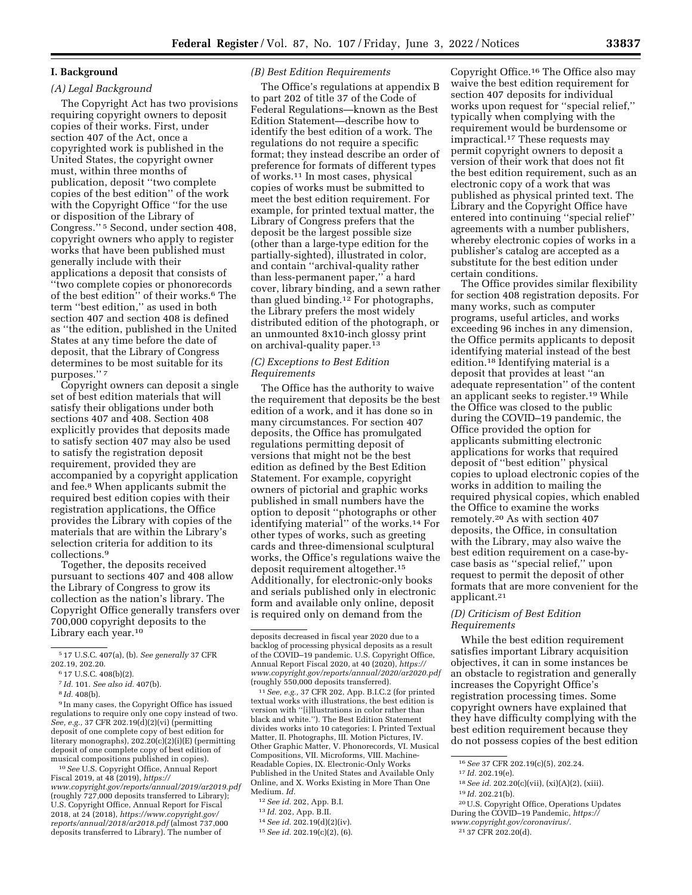# **I. Background**

#### *(A) Legal Background*

The Copyright Act has two provisions requiring copyright owners to deposit copies of their works. First, under section 407 of the Act, once a copyrighted work is published in the United States, the copyright owner must, within three months of publication, deposit ''two complete copies of the best edition'' of the work with the Copyright Office ''for the use or disposition of the Library of Congress.'' 5 Second, under section 408, copyright owners who apply to register works that have been published must generally include with their applications a deposit that consists of ''two complete copies or phonorecords of the best edition'' of their works.6 The term ''best edition,'' as used in both section 407 and section 408 is defined as ''the edition, published in the United States at any time before the date of deposit, that the Library of Congress determines to be most suitable for its purposes.'' 7

Copyright owners can deposit a single set of best edition materials that will satisfy their obligations under both sections 407 and 408. Section 408 explicitly provides that deposits made to satisfy section 407 may also be used to satisfy the registration deposit requirement, provided they are accompanied by a copyright application and fee.8 When applicants submit the required best edition copies with their registration applications, the Office provides the Library with copies of the materials that are within the Library's selection criteria for addition to its collections.9

Together, the deposits received pursuant to sections 407 and 408 allow the Library of Congress to grow its collection as the nation's library. The Copyright Office generally transfers over 700,000 copyright deposits to the Library each year.10

8 *Id.* 408(b).

9 In many cases, the Copyright Office has issued regulations to require only one copy instead of two. *See, e.g.,* 37 CFR 202.19(d)(2)(vi) (permitting deposit of one complete copy of best edition for literary monographs), 202.20(c)(2)(i)(E) (permitting deposit of one complete copy of best edition of musical compositions published in copies).

10*See* U.S. Copyright Office, Annual Report Fiscal 2019, at 48 (2019), *[https://](https://www.copyright.gov/reports/annual/2019/ar2019.pdf) [www.copyright.gov/reports/annual/2019/ar2019.pdf](https://www.copyright.gov/reports/annual/2019/ar2019.pdf)*  (roughly 727,000 deposits transferred to Library); U.S. Copyright Office, Annual Report for Fiscal 2018, at 24 (2018), *[https://www.copyright.gov/](https://www.copyright.gov/reports/annual/2018/ar2018.pdf)  [reports/annual/2018/ar2018.pdf](https://www.copyright.gov/reports/annual/2018/ar2018.pdf)* (almost 737,000 deposits transferred to Library). The number of

## *(B) Best Edition Requirements*

The Office's regulations at appendix B to part 202 of title 37 of the Code of Federal Regulations—known as the Best Edition Statement—describe how to identify the best edition of a work. The regulations do not require a specific format; they instead describe an order of preference for formats of different types of works.11 In most cases, physical copies of works must be submitted to meet the best edition requirement. For example, for printed textual matter, the Library of Congress prefers that the deposit be the largest possible size (other than a large-type edition for the partially-sighted), illustrated in color, and contain ''archival-quality rather than less-permanent paper,'' a hard cover, library binding, and a sewn rather than glued binding.12 For photographs, the Library prefers the most widely distributed edition of the photograph, or an unmounted 8x10-inch glossy print on archival-quality paper.<sup>13</sup>

## *(C) Exceptions to Best Edition Requirements*

The Office has the authority to waive the requirement that deposits be the best edition of a work, and it has done so in many circumstances. For section 407 deposits, the Office has promulgated regulations permitting deposit of versions that might not be the best edition as defined by the Best Edition Statement. For example, copyright owners of pictorial and graphic works published in small numbers have the option to deposit ''photographs or other identifying material'' of the works.14 For other types of works, such as greeting cards and three-dimensional sculptural works, the Office's regulations waive the deposit requirement altogether.15 Additionally, for electronic-only books and serials published only in electronic form and available only online, deposit is required only on demand from the

11*See, e.g.,* 37 CFR 202, App. B.I.C.2 (for printed textual works with illustrations, the best edition is version with ''[i]llustrations in color rather than black and white.''). The Best Edition Statement divides works into 10 categories: I. Printed Textual Matter, II. Photographs, III. Motion Pictures, IV. Other Graphic Matter, V. Phonorecords, VI. Musical Compositions, VII. Microforms, VIII. Machine-Readable Copies, IX. Electronic-Only Works Published in the United States and Available Only Online, and X. Works Existing in More Than One Medium. *Id.* 

- 13 *Id.* 202, App. B.II.
- 14*See id.* 202.19(d)(2)(iv).
- 15*See id.* 202.19(c)(2), (6).

Copyright Office.16 The Office also may waive the best edition requirement for section 407 deposits for individual works upon request for ''special relief,'' typically when complying with the requirement would be burdensome or impractical.17 These requests may permit copyright owners to deposit a version of their work that does not fit the best edition requirement, such as an electronic copy of a work that was published as physical printed text. The Library and the Copyright Office have entered into continuing ''special relief'' agreements with a number publishers, whereby electronic copies of works in a publisher's catalog are accepted as a substitute for the best edition under certain conditions.

The Office provides similar flexibility for section 408 registration deposits. For many works, such as computer programs, useful articles, and works exceeding 96 inches in any dimension, the Office permits applicants to deposit identifying material instead of the best edition.18 Identifying material is a deposit that provides at least ''an adequate representation'' of the content an applicant seeks to register.19 While the Office was closed to the public during the COVID–19 pandemic, the Office provided the option for applicants submitting electronic applications for works that required deposit of ''best edition'' physical copies to upload electronic copies of the works in addition to mailing the required physical copies, which enabled the Office to examine the works remotely.20 As with section 407 deposits, the Office, in consultation with the Library, may also waive the best edition requirement on a case-bycase basis as ''special relief,'' upon request to permit the deposit of other formats that are more convenient for the applicant.21

# *(D) Criticism of Best Edition Requirements*

While the best edition requirement satisfies important Library acquisition objectives, it can in some instances be an obstacle to registration and generally increases the Copyright Office's registration processing times. Some copyright owners have explained that they have difficulty complying with the best edition requirement because they do not possess copies of the best edition

- 18*See id.* 202.20(c)(vii), (xi)(A)(2), (xiii).
- 19 *Id.* 202.21(b).
- 20U.S. Copyright Office, Operations Updates During the COVID–19 Pandemic, *[https://](https://www.copyright.gov/coronavirus/)*
- *[www.copyright.gov/coronavirus/.](https://www.copyright.gov/coronavirus/)*

<sup>5</sup> 17 U.S.C. 407(a), (b). *See generally* 37 CFR 202.19, 202.20.

<sup>6</sup> 17 U.S.C. 408(b)(2).

<sup>7</sup> *Id.* 101. *See also id.* 407(b).

deposits decreased in fiscal year 2020 due to a backlog of processing physical deposits as a result of the COVID–19 pandemic. U.S. Copyright Office, Annual Report Fiscal 2020, at 40 (2020), *[https://](https://www.copyright.gov/reports/annual/2020/ar2020.pdf) [www.copyright.gov/reports/annual/2020/ar2020.pdf](https://www.copyright.gov/reports/annual/2020/ar2020.pdf)*  (roughly 550,000 deposits transferred).

<sup>12</sup>*See id.* 202, App. B.I.

<sup>16</sup>*See* 37 CFR 202.19(c)(5), 202.24.

<sup>17</sup> *Id.* 202.19(e).

<sup>21</sup> 37 CFR 202.20(d).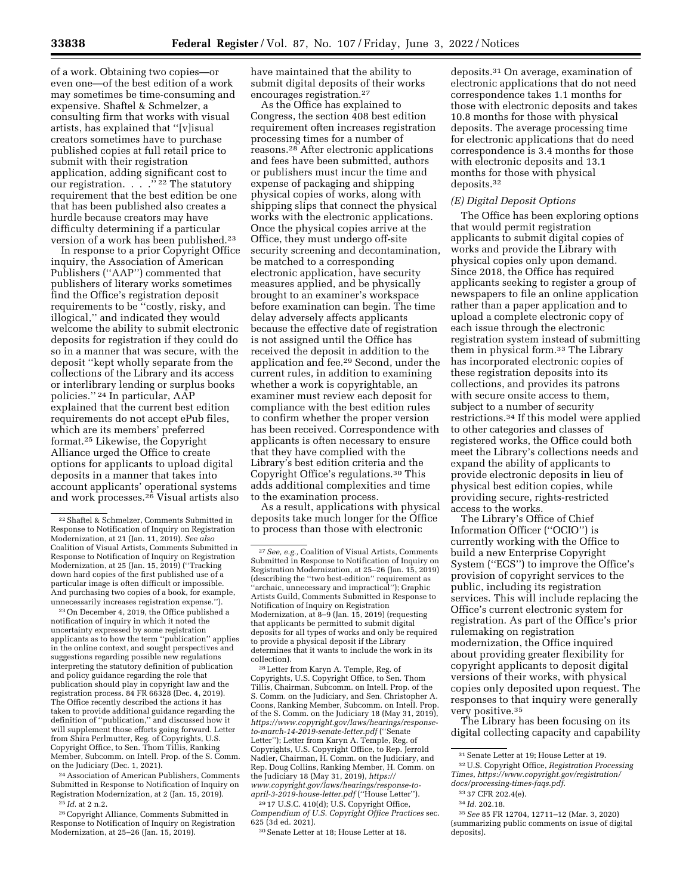of a work. Obtaining two copies—or even one—of the best edition of a work may sometimes be time-consuming and expensive. Shaftel & Schmelzer, a consulting firm that works with visual artists, has explained that ''[v]isual creators sometimes have to purchase published copies at full retail price to submit with their registration application, adding significant cost to our registration. . . . "<sup>22</sup> The statutory requirement that the best edition be one that has been published also creates a hurdle because creators may have difficulty determining if a particular version of a work has been published.23

In response to a prior Copyright Office inquiry, the Association of American Publishers (''AAP'') commented that publishers of literary works sometimes find the Office's registration deposit requirements to be ''costly, risky, and illogical,'' and indicated they would welcome the ability to submit electronic deposits for registration if they could do so in a manner that was secure, with the deposit ''kept wholly separate from the collections of the Library and its access or interlibrary lending or surplus books policies.'' 24 In particular, AAP explained that the current best edition requirements do not accept ePub files, which are its members' preferred format.25 Likewise, the Copyright Alliance urged the Office to create options for applicants to upload digital deposits in a manner that takes into account applicants' operational systems and work processes.26 Visual artists also

23On December 4, 2019, the Office published a notification of inquiry in which it noted the uncertainty expressed by some registration applicants as to how the term ''publication'' applies in the online context, and sought perspectives and suggestions regarding possible new regulations interpreting the statutory definition of publication and policy guidance regarding the role that publication should play in copyright law and the registration process. 84 FR 66328 (Dec. 4, 2019). The Office recently described the actions it has taken to provide additional guidance regarding the definition of ''publication,'' and discussed how it will supplement those efforts going forward. Letter from Shira Perlmutter, Reg. of Copyrights, U.S. Copyright Office, to Sen. Thom Tillis, Ranking Member, Subcomm. on Intell. Prop. of the S. Comm. on the Judiciary (Dec. 1, 2021).

24Association of American Publishers, Comments Submitted in Response to Notification of Inquiry on Registration Modernization, at 2 (Jan. 15, 2019).

25 *Id.* at 2 n.2.

26Copyright Alliance, Comments Submitted in Response to Notification of Inquiry on Registration Modernization, at 25–26 (Jan. 15, 2019).

have maintained that the ability to submit digital deposits of their works encourages registration.27

As the Office has explained to Congress, the section 408 best edition requirement often increases registration processing times for a number of reasons.28 After electronic applications and fees have been submitted, authors or publishers must incur the time and expense of packaging and shipping physical copies of works, along with shipping slips that connect the physical works with the electronic applications. Once the physical copies arrive at the Office, they must undergo off-site security screening and decontamination, be matched to a corresponding electronic application, have security measures applied, and be physically brought to an examiner's workspace before examination can begin. The time delay adversely affects applicants because the effective date of registration is not assigned until the Office has received the deposit in addition to the application and fee.29 Second, under the current rules, in addition to examining whether a work is copyrightable, an examiner must review each deposit for compliance with the best edition rules to confirm whether the proper version has been received. Correspondence with applicants is often necessary to ensure that they have complied with the Library's best edition criteria and the Copyright Office's regulations.30 This adds additional complexities and time to the examination process.

As a result, applications with physical deposits take much longer for the Office to process than those with electronic

28Letter from Karyn A. Temple, Reg. of Copyrights, U.S. Copyright Office, to Sen. Thom Tillis, Chairman, Subcomm. on Intell. Prop. of the S. Comm. on the Judiciary, and Sen. Christopher A. Coons, Ranking Member, Subcomm. on Intell. Prop. of the S. Comm. on the Judiciary 18 (May 31, 2019), *[https://www.copyright.gov/laws/hearings/response](https://www.copyright.gov/laws/hearings/response-to-march-14-2019-senate-letter.pdf)[to-march-14-2019-senate-letter.pdf](https://www.copyright.gov/laws/hearings/response-to-march-14-2019-senate-letter.pdf)* (''Senate Letter''); Letter from Karyn A. Temple, Reg. of Copyrights, U.S. Copyright Office, to Rep. Jerrold Nadler, Chairman, H. Comm. on the Judiciary, and Rep. Doug Collins, Ranking Member, H. Comm. on the Judiciary 18 (May 31, 2019), *[https://](https://www.copyright.gov/laws/hearings/response-to-april-3-2019-house-letter.pdf) [www.copyright.gov/laws/hearings/response-to](https://www.copyright.gov/laws/hearings/response-to-april-3-2019-house-letter.pdf)[april-3-2019-house-letter.pdf](https://www.copyright.gov/laws/hearings/response-to-april-3-2019-house-letter.pdf)* (''House Letter'').

29 17 U.S.C. 410(d); U.S. Copyright Office, *Compendium of U.S. Copyright Office Practices* sec. 625 (3d ed. 2021).

30Senate Letter at 18; House Letter at 18.

deposits.31 On average, examination of electronic applications that do not need correspondence takes 1.1 months for those with electronic deposits and takes 10.8 months for those with physical deposits. The average processing time for electronic applications that do need correspondence is 3.4 months for those with electronic deposits and 13.1 months for those with physical deposits.32

#### *(E) Digital Deposit Options*

The Office has been exploring options that would permit registration applicants to submit digital copies of works and provide the Library with physical copies only upon demand. Since 2018, the Office has required applicants seeking to register a group of newspapers to file an online application rather than a paper application and to upload a complete electronic copy of each issue through the electronic registration system instead of submitting them in physical form.33 The Library has incorporated electronic copies of these registration deposits into its collections, and provides its patrons with secure onsite access to them, subject to a number of security restrictions.34 If this model were applied to other categories and classes of registered works, the Office could both meet the Library's collections needs and expand the ability of applicants to provide electronic deposits in lieu of physical best edition copies, while providing secure, rights-restricted access to the works.

The Library's Office of Chief Information Officer (''OCIO'') is currently working with the Office to build a new Enterprise Copyright System (''ECS'') to improve the Office's provision of copyright services to the public, including its registration services. This will include replacing the Office's current electronic system for registration. As part of the Office's prior rulemaking on registration modernization, the Office inquired about providing greater flexibility for copyright applicants to deposit digital versions of their works, with physical copies only deposited upon request. The responses to that inquiry were generally very positive.35

The Library has been focusing on its digital collecting capacity and capability

<sup>22</sup>Shaftel & Schmelzer, Comments Submitted in Response to Notification of Inquiry on Registration Modernization, at 21 (Jan. 11, 2019). *See also*  Coalition of Visual Artists, Comments Submitted in Response to Notification of Inquiry on Registration Modernization, at 25 (Jan. 15, 2019) (''Tracking down hard copies of the first published use of a particular image is often difficult or impossible. And purchasing two copies of a book, for example, unnecessarily increases registration expense.")

<sup>27</sup>*See, e.g.,* Coalition of Visual Artists, Comments Submitted in Response to Notification of Inquiry on Registration Modernization, at 25–26 (Jan. 15, 2019) (describing the ''two best-edition'' requirement as "archaic, unnecessary and impractical"); Graphic Artists Guild, Comments Submitted in Response to Notification of Inquiry on Registration Modernization, at 8–9 (Jan. 15, 2019) (requesting that applicants be permitted to submit digital deposits for all types of works and only be required to provide a physical deposit if the Library determines that it wants to include the work in its collection).

 $^{\rm 31}$  Senate Letter at 19; House Letter at 19. 32U.S. Copyright Office, *Registration Processing Times, [https://www.copyright.gov/registration/](https://www.copyright.gov/registration/docs/processing-times-faqs.pdf)* 

*[docs/processing-times-faqs.pdf.](https://www.copyright.gov/registration/docs/processing-times-faqs.pdf)* 

<sup>33</sup> 37 CFR 202.4(e).

<sup>34</sup> *Id.* 202.18.

<sup>35</sup>*See* 85 FR 12704, 12711–12 (Mar. 3, 2020) (summarizing public comments on issue of digital deposits).